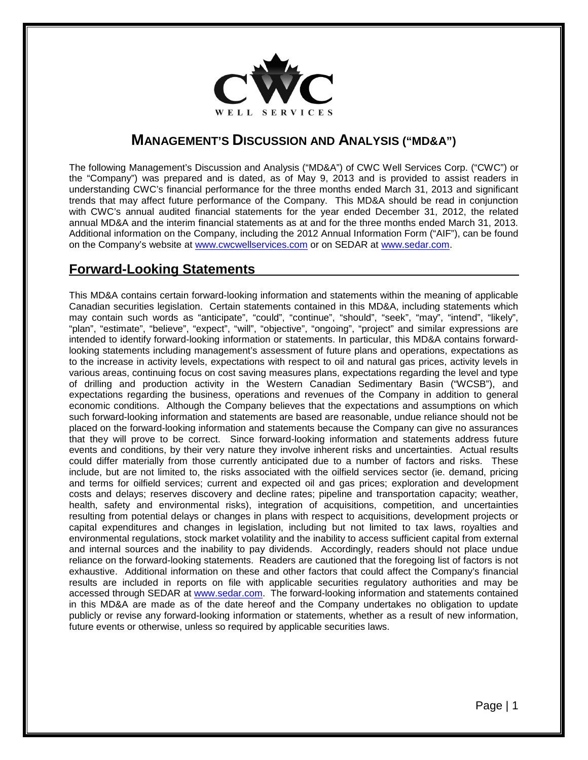

# **MANAGEMENT'S DISCUSSION AND ANALYSIS ("MD&A")**

The following Management's Discussion and Analysis ("MD&A") of CWC Well Services Corp. ("CWC") or the "Company") was prepared and is dated, as of May 9, 2013 and is provided to assist readers in understanding CWC's financial performance for the three months ended March 31, 2013 and significant trends that may affect future performance of the Company. This MD&A should be read in conjunction with CWC's annual audited financial statements for the year ended December 31, 2012, the related annual MD&A and the interim financial statements as at and for the three months ended March 31, 2013. Additional information on the Company, including the 2012 Annual Information Form ("AIF"), can be found on the Company's website at [www.cwcwellservices.com](http://www.cwcwellservices.com/) or on SEDAR at [www.sedar.com.](http://www.sedar.com/)

# **Forward-Looking Statements**

This MD&A contains certain forward-looking information and statements within the meaning of applicable Canadian securities legislation. Certain statements contained in this MD&A, including statements which may contain such words as "anticipate", "could", "continue", "should", "seek", "may", "intend", "likely", "plan", "estimate", "believe", "expect", "will", "objective", "ongoing", "project" and similar expressions are intended to identify forward-looking information or statements. In particular, this MD&A contains forwardlooking statements including management's assessment of future plans and operations, expectations as to the increase in activity levels, expectations with respect to oil and natural gas prices, activity levels in various areas, continuing focus on cost saving measures plans, expectations regarding the level and type of drilling and production activity in the Western Canadian Sedimentary Basin ("WCSB"), and expectations regarding the business, operations and revenues of the Company in addition to general economic conditions. Although the Company believes that the expectations and assumptions on which such forward-looking information and statements are based are reasonable, undue reliance should not be placed on the forward-looking information and statements because the Company can give no assurances that they will prove to be correct. Since forward-looking information and statements address future events and conditions, by their very nature they involve inherent risks and uncertainties. Actual results could differ materially from those currently anticipated due to a number of factors and risks. These include, but are not limited to, the risks associated with the oilfield services sector (ie. demand, pricing and terms for oilfield services; current and expected oil and gas prices; exploration and development costs and delays; reserves discovery and decline rates; pipeline and transportation capacity; weather, health, safety and environmental risks), integration of acquisitions, competition, and uncertainties resulting from potential delays or changes in plans with respect to acquisitions, development projects or capital expenditures and changes in legislation, including but not limited to tax laws, royalties and environmental regulations, stock market volatility and the inability to access sufficient capital from external and internal sources and the inability to pay dividends. Accordingly, readers should not place undue reliance on the forward-looking statements. Readers are cautioned that the foregoing list of factors is not exhaustive. Additional information on these and other factors that could affect the Company's financial results are included in reports on file with applicable securities regulatory authorities and may be accessed through SEDAR at [www.sedar.com.](http://www.sedar.com/) The forward-looking information and statements contained in this MD&A are made as of the date hereof and the Company undertakes no obligation to update publicly or revise any forward-looking information or statements, whether as a result of new information, future events or otherwise, unless so required by applicable securities laws.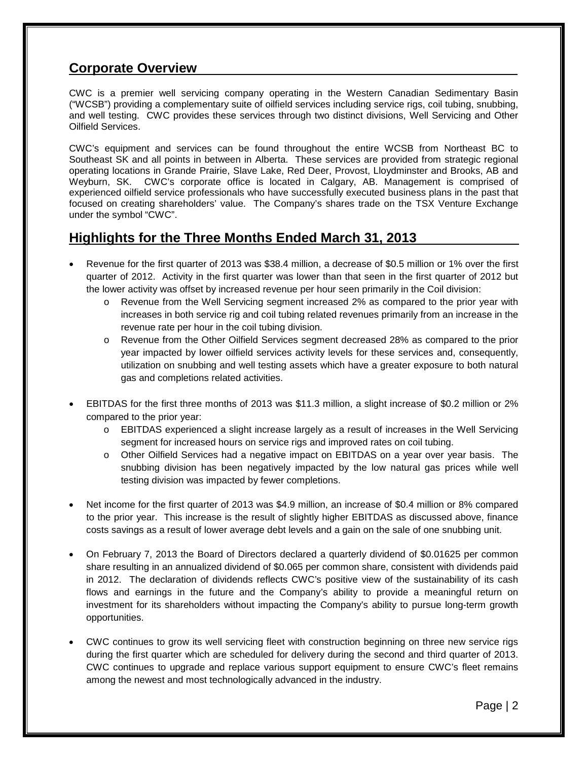# **Corporate Overview**

CWC is a premier well servicing company operating in the Western Canadian Sedimentary Basin ("WCSB") providing a complementary suite of oilfield services including service rigs, coil tubing, snubbing, and well testing. CWC provides these services through two distinct divisions, Well Servicing and Other Oilfield Services.

CWC's equipment and services can be found throughout the entire WCSB from Northeast BC to Southeast SK and all points in between in Alberta. These services are provided from strategic regional operating locations in Grande Prairie, Slave Lake, Red Deer, Provost, Lloydminster and Brooks, AB and Weyburn, SK. CWC's corporate office is located in Calgary, AB. Management is comprised of experienced oilfield service professionals who have successfully executed business plans in the past that focused on creating shareholders' value. The Company's shares trade on the TSX Venture Exchange under the symbol "CWC".

# **Highlights for the Three Months Ended March 31, 2013**

- Revenue for the first quarter of 2013 was \$38.4 million, a decrease of \$0.5 million or 1% over the first quarter of 2012. Activity in the first quarter was lower than that seen in the first quarter of 2012 but the lower activity was offset by increased revenue per hour seen primarily in the Coil division:
	- o Revenue from the Well Servicing segment increased 2% as compared to the prior year with increases in both service rig and coil tubing related revenues primarily from an increase in the revenue rate per hour in the coil tubing division.
	- o Revenue from the Other Oilfield Services segment decreased 28% as compared to the prior year impacted by lower oilfield services activity levels for these services and, consequently, utilization on snubbing and well testing assets which have a greater exposure to both natural gas and completions related activities.
- EBITDAS for the first three months of 2013 was \$11.3 million, a slight increase of \$0.2 million or 2% compared to the prior year:
	- o EBITDAS experienced a slight increase largely as a result of increases in the Well Servicing segment for increased hours on service rigs and improved rates on coil tubing.
	- o Other Oilfield Services had a negative impact on EBITDAS on a year over year basis. The snubbing division has been negatively impacted by the low natural gas prices while well testing division was impacted by fewer completions.
- Net income for the first quarter of 2013 was \$4.9 million, an increase of \$0.4 million or 8% compared to the prior year. This increase is the result of slightly higher EBITDAS as discussed above, finance costs savings as a result of lower average debt levels and a gain on the sale of one snubbing unit.
- On February 7, 2013 the Board of Directors declared a quarterly dividend of \$0.01625 per common share resulting in an annualized dividend of \$0.065 per common share, consistent with dividends paid in 2012. The declaration of dividends reflects CWC's positive view of the sustainability of its cash flows and earnings in the future and the Company's ability to provide a meaningful return on investment for its shareholders without impacting the Company's ability to pursue long-term growth opportunities.
- CWC continues to grow its well servicing fleet with construction beginning on three new service rigs during the first quarter which are scheduled for delivery during the second and third quarter of 2013. CWC continues to upgrade and replace various support equipment to ensure CWC's fleet remains among the newest and most technologically advanced in the industry.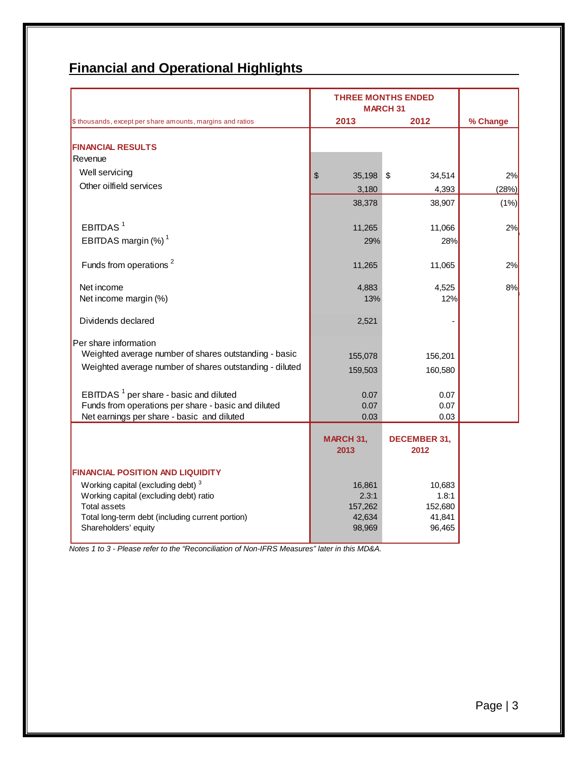# **Financial and Operational Highlights**

|                                                                         | <b>THREE MONTHS ENDED</b><br><b>MARCH 31</b> |                             |          |
|-------------------------------------------------------------------------|----------------------------------------------|-----------------------------|----------|
| \$ thousands, except per share amounts, margins and ratios              | 2013                                         | 2012                        | % Change |
| <b>FINANCIAL RESULTS</b>                                                |                                              |                             |          |
| Revenue                                                                 |                                              |                             |          |
| Well servicing                                                          | \$<br>35,198                                 | $\sqrt{3}$<br>34,514        | 2%       |
| Other oilfield services                                                 | 3,180                                        | 4,393                       | (28%)    |
|                                                                         | 38,378                                       | 38,907                      | (1% )    |
| EBITDAS <sup>1</sup>                                                    | 11,265                                       | 11,066                      | 2%       |
| EBITDAS margin $(\%)$ <sup>1</sup>                                      | 29%                                          | 28%                         |          |
| Funds from operations <sup>2</sup>                                      | 11,265                                       | 11,065                      | 2%       |
| Net income                                                              | 4,883                                        | 4,525                       | 8%       |
| Net income margin (%)                                                   | 13%                                          | 12%                         |          |
| Dividends declared                                                      | 2,521                                        |                             |          |
| Per share information                                                   |                                              |                             |          |
| Weighted average number of shares outstanding - basic                   | 155,078                                      | 156,201                     |          |
| Weighted average number of shares outstanding - diluted                 | 159,503                                      | 160,580                     |          |
| EBITDAS <sup>1</sup> per share - basic and diluted                      | 0.07                                         | 0.07                        |          |
| Funds from operations per share - basic and diluted                     | 0.07                                         | 0.07                        |          |
| Net earnings per share - basic and diluted                              | 0.03                                         | 0.03                        |          |
|                                                                         | MARCH 31,<br>2013                            | <b>DECEMBER 31,</b><br>2012 |          |
| <b>FINANCIAL POSITION AND LIQUIDITY</b>                                 |                                              |                             |          |
| Working capital (excluding debt) <sup>3</sup>                           | 16,861                                       | 10,683                      |          |
| Working capital (excluding debt) ratio                                  | 2.3:1                                        | 1.8:1                       |          |
| <b>Total assets</b><br>Total long-term debt (including current portion) | 157,262<br>42,634                            | 152,680<br>41,841           |          |
| Shareholders' equity                                                    | 98,969                                       | 96,465                      |          |

*Notes 1 to 3 - Please refer to the "Reconciliation of Non-IFRS Measures" later in this MD&A.*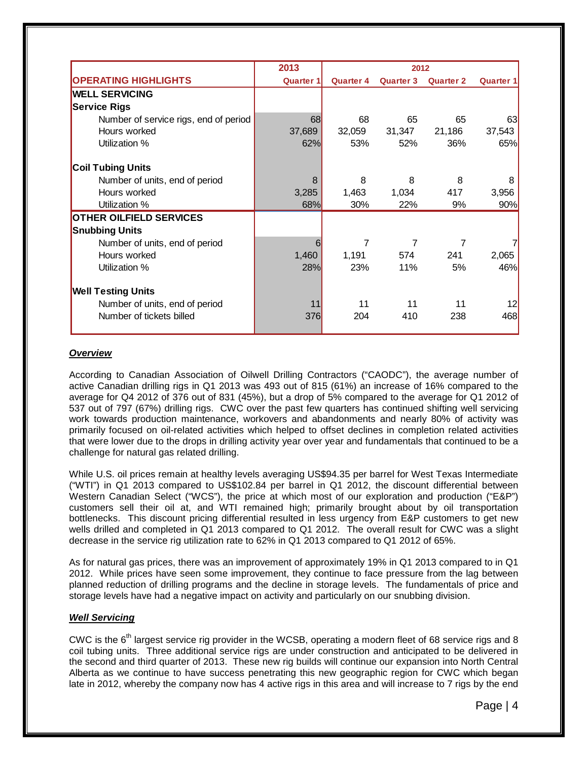|                                       | 2013             | 2012             |                  |                  |                  |
|---------------------------------------|------------------|------------------|------------------|------------------|------------------|
| <b>OPERATING HIGHLIGHTS</b>           | <b>Quarter 1</b> | <b>Quarter 4</b> | <b>Quarter 3</b> | <b>Quarter 2</b> | <b>Quarter 1</b> |
| <b>WELL SERVICING</b>                 |                  |                  |                  |                  |                  |
| <b>Service Rigs</b>                   |                  |                  |                  |                  |                  |
| Number of service rigs, end of period | 68               | 68               | 65               | 65               | 63               |
| Hours worked                          | 37,689           | 32,059           | 31,347           | 21,186           | 37,543           |
| Utilization %                         | 62%              | 53%              | 52%              | 36%              | 65%              |
| <b>Coil Tubing Units</b>              |                  |                  |                  |                  |                  |
| Number of units, end of period        | 8                | 8                | 8                | 8                | 8                |
| Hours worked                          | 3,285            | 1,463            | 1,034            | 417              | 3,956            |
| Utilization %                         | 68%              | 30%              | 22%              | 9%               | 90%              |
| <b>OTHER OILFIELD SERVICES</b>        |                  |                  |                  |                  |                  |
| <b>Snubbing Units</b>                 |                  |                  |                  |                  |                  |
| Number of units, end of period        | 6                |                  | 7                | 7                |                  |
| Hours worked                          | 1,460            | 1,191            | 574              | 241              | 2,065            |
| Utilization %                         | 28%              | 23%              | 11%              | 5%               | 46%              |
| <b>Well Testing Units</b>             |                  |                  |                  |                  |                  |
| Number of units, end of period        | 11               | 11               | 11               | 11               | 12               |
| Number of tickets billed              | 376              | 204              | 410              | 238              | 468              |

# *Overview*

According to Canadian Association of Oilwell Drilling Contractors ("CAODC"), the average number of active Canadian drilling rigs in Q1 2013 was 493 out of 815 (61%) an increase of 16% compared to the average for Q4 2012 of 376 out of 831 (45%), but a drop of 5% compared to the average for Q1 2012 of 537 out of 797 (67%) drilling rigs. CWC over the past few quarters has continued shifting well servicing work towards production maintenance, workovers and abandonments and nearly 80% of activity was primarily focused on oil-related activities which helped to offset declines in completion related activities that were lower due to the drops in drilling activity year over year and fundamentals that continued to be a challenge for natural gas related drilling.

While U.S. oil prices remain at healthy levels averaging US\$94.35 per barrel for West Texas Intermediate ("WTI") in Q1 2013 compared to US\$102.84 per barrel in Q1 2012, the discount differential between Western Canadian Select ("WCS"), the price at which most of our exploration and production ("E&P") customers sell their oil at, and WTI remained high; primarily brought about by oil transportation bottlenecks. This discount pricing differential resulted in less urgency from E&P customers to get new wells drilled and completed in Q1 2013 compared to Q1 2012. The overall result for CWC was a slight decrease in the service rig utilization rate to 62% in Q1 2013 compared to Q1 2012 of 65%.

As for natural gas prices, there was an improvement of approximately 19% in Q1 2013 compared to in Q1 2012. While prices have seen some improvement, they continue to face pressure from the lag between planned reduction of drilling programs and the decline in storage levels. The fundamentals of price and storage levels have had a negative impact on activity and particularly on our snubbing division.

# *Well Servicing*

CWC is the  $6<sup>th</sup>$  largest service rig provider in the WCSB, operating a modern fleet of 68 service rigs and 8 coil tubing units. Three additional service rigs are under construction and anticipated to be delivered in the second and third quarter of 2013. These new rig builds will continue our expansion into North Central Alberta as we continue to have success penetrating this new geographic region for CWC which began late in 2012, whereby the company now has 4 active rigs in this area and will increase to 7 rigs by the end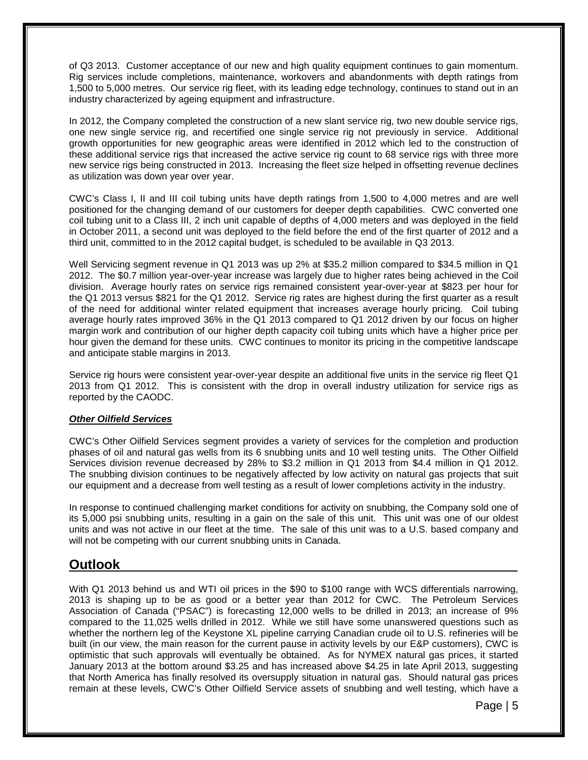of Q3 2013. Customer acceptance of our new and high quality equipment continues to gain momentum. Rig services include completions, maintenance, workovers and abandonments with depth ratings from 1,500 to 5,000 metres. Our service rig fleet, with its leading edge technology, continues to stand out in an industry characterized by ageing equipment and infrastructure.

In 2012, the Company completed the construction of a new slant service rig, two new double service rigs, one new single service rig, and recertified one single service rig not previously in service. Additional growth opportunities for new geographic areas were identified in 2012 which led to the construction of these additional service rigs that increased the active service rig count to 68 service rigs with three more new service rigs being constructed in 2013. Increasing the fleet size helped in offsetting revenue declines as utilization was down year over year.

CWC's Class I, II and III coil tubing units have depth ratings from 1,500 to 4,000 metres and are well positioned for the changing demand of our customers for deeper depth capabilities. CWC converted one coil tubing unit to a Class III, 2 inch unit capable of depths of 4,000 meters and was deployed in the field in October 2011, a second unit was deployed to the field before the end of the first quarter of 2012 and a third unit, committed to in the 2012 capital budget, is scheduled to be available in Q3 2013.

Well Servicing segment revenue in Q1 2013 was up 2% at \$35.2 million compared to \$34.5 million in Q1 2012. The \$0.7 million year-over-year increase was largely due to higher rates being achieved in the Coil division. Average hourly rates on service rigs remained consistent year-over-year at \$823 per hour for the Q1 2013 versus \$821 for the Q1 2012. Service rig rates are highest during the first quarter as a result of the need for additional winter related equipment that increases average hourly pricing. Coil tubing average hourly rates improved 36% in the Q1 2013 compared to Q1 2012 driven by our focus on higher margin work and contribution of our higher depth capacity coil tubing units which have a higher price per hour given the demand for these units. CWC continues to monitor its pricing in the competitive landscape and anticipate stable margins in 2013.

Service rig hours were consistent year-over-year despite an additional five units in the service rig fleet Q1 2013 from Q1 2012. This is consistent with the drop in overall industry utilization for service rigs as reported by the CAODC.

# *Other Oilfield Services*

CWC's Other Oilfield Services segment provides a variety of services for the completion and production phases of oil and natural gas wells from its 6 snubbing units and 10 well testing units. The Other Oilfield Services division revenue decreased by 28% to \$3.2 million in Q1 2013 from \$4.4 million in Q1 2012. The snubbing division continues to be negatively affected by low activity on natural gas projects that suit our equipment and a decrease from well testing as a result of lower completions activity in the industry.

In response to continued challenging market conditions for activity on snubbing, the Company sold one of its 5,000 psi snubbing units, resulting in a gain on the sale of this unit. This unit was one of our oldest units and was not active in our fleet at the time. The sale of this unit was to a U.S. based company and will not be competing with our current snubbing units in Canada.

# **Outlook**

With Q1 2013 behind us and WTI oil prices in the \$90 to \$100 range with WCS differentials narrowing, 2013 is shaping up to be as good or a better year than 2012 for CWC. The Petroleum Services Association of Canada ("PSAC") is forecasting 12,000 wells to be drilled in 2013; an increase of 9% compared to the 11,025 wells drilled in 2012. While we still have some unanswered questions such as whether the northern leg of the Keystone XL pipeline carrying Canadian crude oil to U.S. refineries will be built (in our view, the main reason for the current pause in activity levels by our E&P customers), CWC is optimistic that such approvals will eventually be obtained. As for NYMEX natural gas prices, it started January 2013 at the bottom around \$3.25 and has increased above \$4.25 in late April 2013, suggesting that North America has finally resolved its oversupply situation in natural gas. Should natural gas prices remain at these levels, CWC's Other Oilfield Service assets of snubbing and well testing, which have a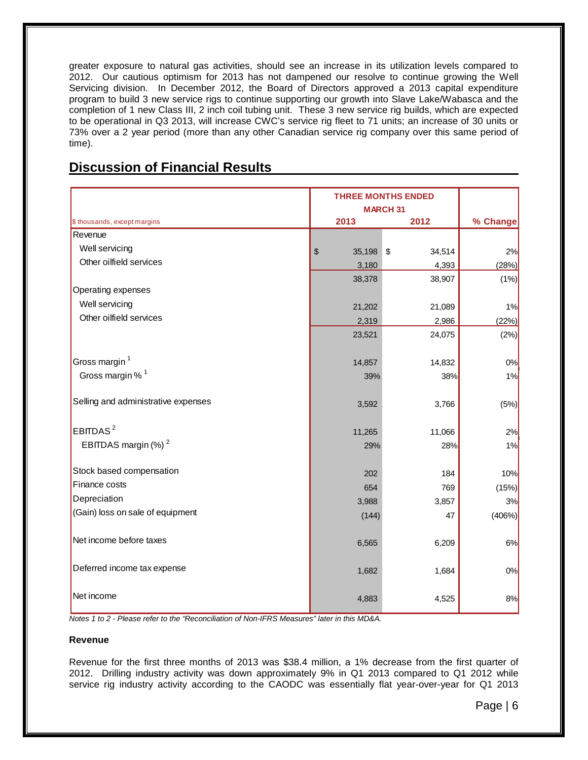greater exposure to natural gas activities, should see an increase in its utilization levels compared to 2012. Our cautious optimism for 2013 has not dampened our resolve to continue growing the Well Servicing division. In December 2012, the Board of Directors approved a 2013 capital expenditure program to build 3 new service rigs to continue supporting our growth into Slave Lake/Wabasca and the completion of 1 new Class III, 2 inch coil tubing unit. These 3 new service rig builds, which are expected to be operational in Q3 2013, will increase CWC's service rig fleet to 71 units; an increase of 30 units or 73% over a 2 year period (more than any other Canadian service rig company over this same period of time).

| <b>Discussion of Financial Results</b> |  |  |
|----------------------------------------|--|--|
|                                        |  |  |

|                                     | <b>THREE MONTHS ENDED</b><br><b>MARCH 31</b> |        |          |
|-------------------------------------|----------------------------------------------|--------|----------|
| \$ thousands, except margins        | 2013                                         | 2012   | % Change |
| Revenue                             |                                              |        |          |
| Well servicing                      | \$<br>35,198 \$                              | 34,514 | 2%       |
| Other oilfield services             | 3,180                                        | 4,393  | (28%)    |
|                                     | 38,378                                       | 38,907 | (1%)     |
| Operating expenses                  |                                              |        |          |
| Well servicing                      | 21,202                                       | 21,089 | 1%       |
| Other oilfield services             | 2,319                                        | 2,986  | (22%)    |
|                                     | 23,521                                       | 24,075 | (2%)     |
| Gross margin <sup>1</sup>           | 14,857                                       | 14,832 | 0%       |
| Gross margin % <sup>1</sup>         | 39%                                          | 38%    | 1%       |
| Selling and administrative expenses | 3,592                                        | 3,766  | (5%)     |
| EBITDAS <sup>2</sup>                | 11,265                                       | 11,066 | 2%       |
| EBITDAS margin (%) <sup>2</sup>     | 29%                                          | 28%    | 1%       |
| Stock based compensation            | 202                                          | 184    | 10%      |
| Finance costs                       | 654                                          | 769    | (15%)    |
| Depreciation                        | 3,988                                        | 3,857  | 3%       |
| (Gain) loss on sale of equipment    | (144)                                        | 47     | (406%)   |
| Net income before taxes             | 6,565                                        | 6,209  | 6%       |
| Deferred income tax expense         | 1,682                                        | 1,684  | 0%       |
| Net income                          | 4,883                                        | 4,525  | 8%       |

*Notes 1 to 2 - Please refer to the "Reconciliation of Non-IFRS Measures" later in this MD&A.*

# **Revenue**

Revenue for the first three months of 2013 was \$38.4 million, a 1% decrease from the first quarter of 2012. Drilling industry activity was down approximately 9% in Q1 2013 compared to Q1 2012 while service rig industry activity according to the CAODC was essentially flat year-over-year for Q1 2013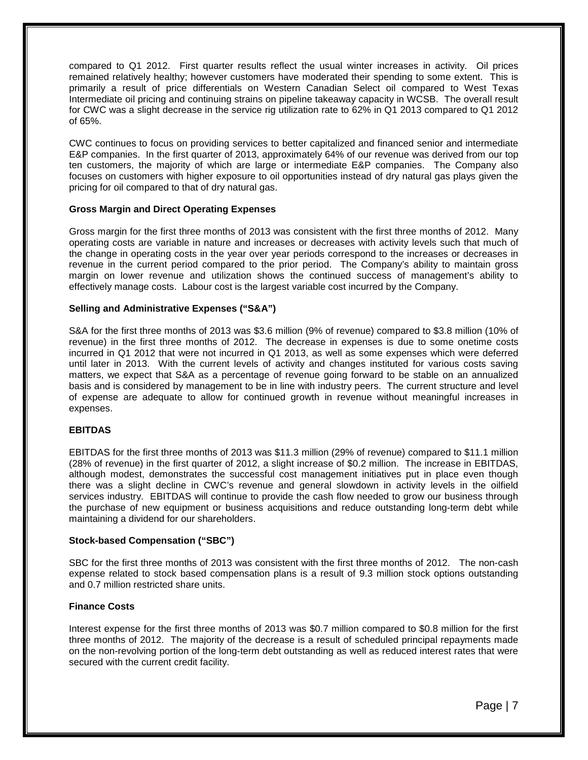compared to Q1 2012. First quarter results reflect the usual winter increases in activity. Oil prices remained relatively healthy; however customers have moderated their spending to some extent. This is primarily a result of price differentials on Western Canadian Select oil compared to West Texas Intermediate oil pricing and continuing strains on pipeline takeaway capacity in WCSB. The overall result for CWC was a slight decrease in the service rig utilization rate to 62% in Q1 2013 compared to Q1 2012 of 65%.

CWC continues to focus on providing services to better capitalized and financed senior and intermediate E&P companies. In the first quarter of 2013, approximately 64% of our revenue was derived from our top ten customers, the majority of which are large or intermediate E&P companies. The Company also focuses on customers with higher exposure to oil opportunities instead of dry natural gas plays given the pricing for oil compared to that of dry natural gas.

# **Gross Margin and Direct Operating Expenses**

Gross margin for the first three months of 2013 was consistent with the first three months of 2012. Many operating costs are variable in nature and increases or decreases with activity levels such that much of the change in operating costs in the year over year periods correspond to the increases or decreases in revenue in the current period compared to the prior period. The Company's ability to maintain gross margin on lower revenue and utilization shows the continued success of management's ability to effectively manage costs. Labour cost is the largest variable cost incurred by the Company.

# **Selling and Administrative Expenses ("S&A")**

S&A for the first three months of 2013 was \$3.6 million (9% of revenue) compared to \$3.8 million (10% of revenue) in the first three months of 2012. The decrease in expenses is due to some onetime costs incurred in Q1 2012 that were not incurred in Q1 2013, as well as some expenses which were deferred until later in 2013. With the current levels of activity and changes instituted for various costs saving matters, we expect that S&A as a percentage of revenue going forward to be stable on an annualized basis and is considered by management to be in line with industry peers. The current structure and level of expense are adequate to allow for continued growth in revenue without meaningful increases in expenses.

# **EBITDAS**

EBITDAS for the first three months of 2013 was \$11.3 million (29% of revenue) compared to \$11.1 million (28% of revenue) in the first quarter of 2012, a slight increase of \$0.2 million. The increase in EBITDAS, although modest, demonstrates the successful cost management initiatives put in place even though there was a slight decline in CWC's revenue and general slowdown in activity levels in the oilfield services industry. EBITDAS will continue to provide the cash flow needed to grow our business through the purchase of new equipment or business acquisitions and reduce outstanding long-term debt while maintaining a dividend for our shareholders.

# **Stock-based Compensation ("SBC")**

SBC for the first three months of 2013 was consistent with the first three months of 2012. The non-cash expense related to stock based compensation plans is a result of 9.3 million stock options outstanding and 0.7 million restricted share units.

# **Finance Costs**

Interest expense for the first three months of 2013 was \$0.7 million compared to \$0.8 million for the first three months of 2012. The majority of the decrease is a result of scheduled principal repayments made on the non-revolving portion of the long-term debt outstanding as well as reduced interest rates that were secured with the current credit facility.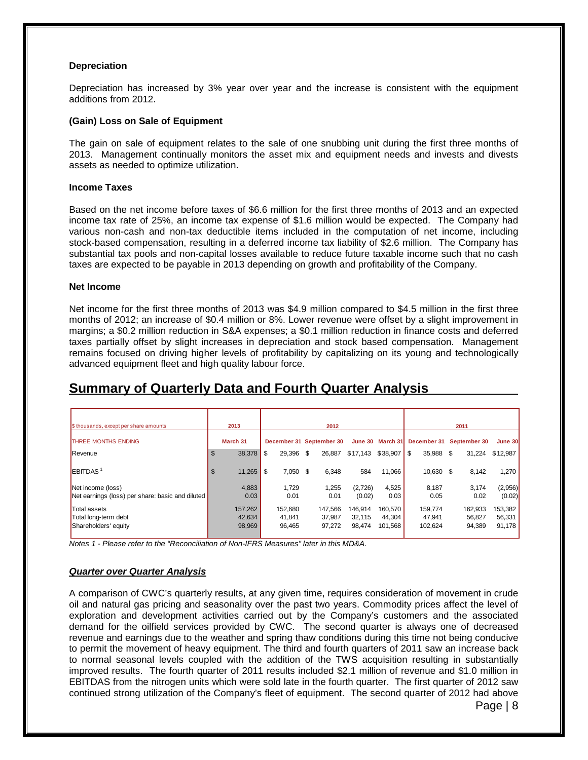## **Depreciation**

Depreciation has increased by 3% year over year and the increase is consistent with the equipment additions from 2012.

### **(Gain) Loss on Sale of Equipment**

The gain on sale of equipment relates to the sale of one snubbing unit during the first three months of 2013. Management continually monitors the asset mix and equipment needs and invests and divests assets as needed to optimize utilization.

### **Income Taxes**

Based on the net income before taxes of \$6.6 million for the first three months of 2013 and an expected income tax rate of 25%, an income tax expense of \$1.6 million would be expected. The Company had various non-cash and non-tax deductible items included in the computation of net income, including stock-based compensation, resulting in a deferred income tax liability of \$2.6 million. The Company has substantial tax pools and non-capital losses available to reduce future taxable income such that no cash taxes are expected to be payable in 2013 depending on growth and profitability of the Company.

#### **Net Income**

Net income for the first three months of 2013 was \$4.9 million compared to \$4.5 million in the first three months of 2012; an increase of \$0.4 million or 8%. Lower revenue were offset by a slight improvement in margins; a \$0.2 million reduction in S&A expenses; a \$0.1 million reduction in finance costs and deferred taxes partially offset by slight increases in depreciation and stock based compensation. Management remains focused on driving higher levels of profitability by capitalizing on its young and technologically advanced equipment fleet and high quality labour force.

| \$ thousands, except per share amounts                                |                | 2013             |                  |      | 2012                     |                   |                   |                   | 2011             |                   |
|-----------------------------------------------------------------------|----------------|------------------|------------------|------|--------------------------|-------------------|-------------------|-------------------|------------------|-------------------|
| THREE MONTHS ENDING                                                   |                | March 31         |                  |      | December 31 September 30 |                   | June 30 March 31  | December 31       | September 30     | June 30           |
| Revenue                                                               | $\mathfrak{L}$ | $38,378$ \$      | 29.396           | - \$ | 26.887                   |                   |                   | 35.988 \$         | 31.224           | \$12.987          |
| EBITDAS <sup>1</sup>                                                  | $\mathfrak{S}$ |                  | 7,050 \$         |      | 6.348                    | 584               | 11.066            | 10.630 \$         | 8,142            | 1,270             |
| Net income (loss)<br>Net earnings (loss) per share: basic and diluted |                | 4,883<br>0.03    | 1.729<br>0.01    |      | 1,255<br>0.01            | (2,726)<br>(0.02) | 4,525<br>0.03     | 8,187<br>0.05     | 3,174<br>0.02    | (2,956)<br>(0.02) |
| Total assets                                                          |                | 157,262          | 152.680          |      | 147.566                  | 146.914           | 160.570           | 159.774           | 162,933          | 153,382           |
| Total long-term debt<br>Shareholders' equity                          |                | 42,634<br>98,969 | 41,841<br>96.465 |      | 37,987<br>97.272         | 32.115<br>98.474  | 44.304<br>101.568 | 47,941<br>102.624 | 56,827<br>94.389 | 56,331<br>91.178  |

# **Summary of Quarterly Data and Fourth Quarter Analysis**

*Notes 1 - Please refer to the "Reconciliation of Non-IFRS Measures" later in this MD&A.*

# *Quarter over Quarter Analysis*

A comparison of CWC's quarterly results, at any given time, requires consideration of movement in crude oil and natural gas pricing and seasonality over the past two years. Commodity prices affect the level of exploration and development activities carried out by the Company's customers and the associated demand for the oilfield services provided by CWC. The second quarter is always one of decreased revenue and earnings due to the weather and spring thaw conditions during this time not being conducive to permit the movement of heavy equipment. The third and fourth quarters of 2011 saw an increase back to normal seasonal levels coupled with the addition of the TWS acquisition resulting in substantially improved results. The fourth quarter of 2011 results included \$2.1 million of revenue and \$1.0 million in EBITDAS from the nitrogen units which were sold late in the fourth quarter. The first quarter of 2012 saw continued strong utilization of the Company's fleet of equipment. The second quarter of 2012 had above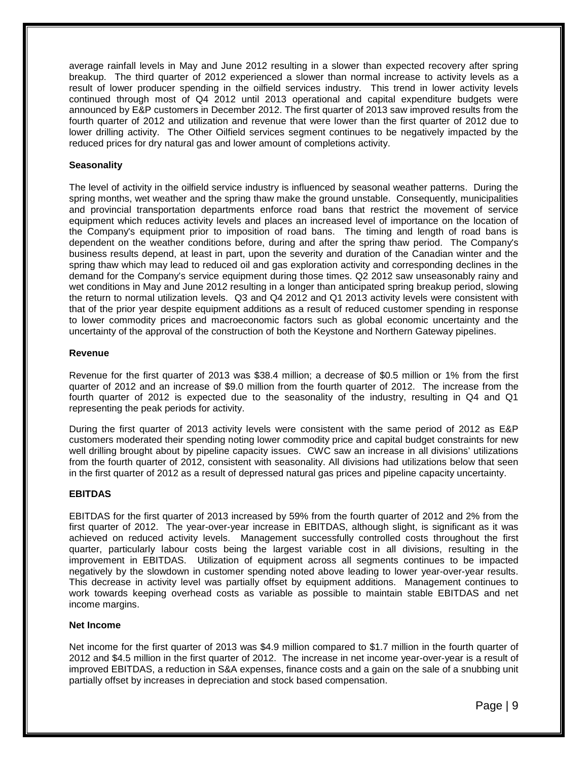average rainfall levels in May and June 2012 resulting in a slower than expected recovery after spring breakup. The third quarter of 2012 experienced a slower than normal increase to activity levels as a result of lower producer spending in the oilfield services industry. This trend in lower activity levels continued through most of Q4 2012 until 2013 operational and capital expenditure budgets were announced by E&P customers in December 2012. The first quarter of 2013 saw improved results from the fourth quarter of 2012 and utilization and revenue that were lower than the first quarter of 2012 due to lower drilling activity. The Other Oilfield services segment continues to be negatively impacted by the reduced prices for dry natural gas and lower amount of completions activity.

# **Seasonality**

The level of activity in the oilfield service industry is influenced by seasonal weather patterns. During the spring months, wet weather and the spring thaw make the ground unstable. Consequently, municipalities and provincial transportation departments enforce road bans that restrict the movement of service equipment which reduces activity levels and places an increased level of importance on the location of the Company's equipment prior to imposition of road bans. The timing and length of road bans is dependent on the weather conditions before, during and after the spring thaw period. The Company's business results depend, at least in part, upon the severity and duration of the Canadian winter and the spring thaw which may lead to reduced oil and gas exploration activity and corresponding declines in the demand for the Company's service equipment during those times. Q2 2012 saw unseasonably rainy and wet conditions in May and June 2012 resulting in a longer than anticipated spring breakup period, slowing the return to normal utilization levels. Q3 and Q4 2012 and Q1 2013 activity levels were consistent with that of the prior year despite equipment additions as a result of reduced customer spending in response to lower commodity prices and macroeconomic factors such as global economic uncertainty and the uncertainty of the approval of the construction of both the Keystone and Northern Gateway pipelines.

# **Revenue**

Revenue for the first quarter of 2013 was \$38.4 million; a decrease of \$0.5 million or 1% from the first quarter of 2012 and an increase of \$9.0 million from the fourth quarter of 2012. The increase from the fourth quarter of 2012 is expected due to the seasonality of the industry, resulting in Q4 and Q1 representing the peak periods for activity.

During the first quarter of 2013 activity levels were consistent with the same period of 2012 as E&P customers moderated their spending noting lower commodity price and capital budget constraints for new well drilling brought about by pipeline capacity issues. CWC saw an increase in all divisions' utilizations from the fourth quarter of 2012, consistent with seasonality. All divisions had utilizations below that seen in the first quarter of 2012 as a result of depressed natural gas prices and pipeline capacity uncertainty.

# **EBITDAS**

EBITDAS for the first quarter of 2013 increased by 59% from the fourth quarter of 2012 and 2% from the first quarter of 2012. The year-over-year increase in EBITDAS, although slight, is significant as it was achieved on reduced activity levels. Management successfully controlled costs throughout the first quarter, particularly labour costs being the largest variable cost in all divisions, resulting in the improvement in EBITDAS. Utilization of equipment across all segments continues to be impacted negatively by the slowdown in customer spending noted above leading to lower year-over-year results. This decrease in activity level was partially offset by equipment additions. Management continues to work towards keeping overhead costs as variable as possible to maintain stable EBITDAS and net income margins.

# **Net Income**

Net income for the first quarter of 2013 was \$4.9 million compared to \$1.7 million in the fourth quarter of 2012 and \$4.5 million in the first quarter of 2012. The increase in net income year-over-year is a result of improved EBITDAS, a reduction in S&A expenses, finance costs and a gain on the sale of a snubbing unit partially offset by increases in depreciation and stock based compensation.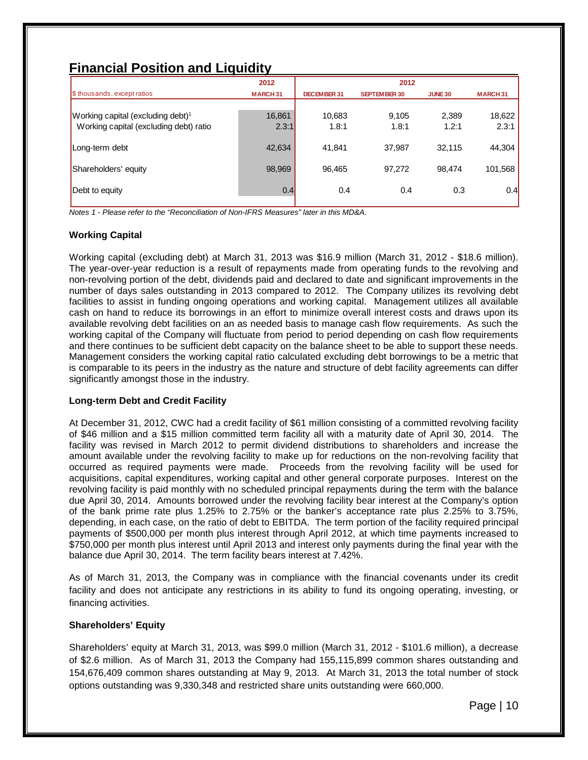# **Financial Position and Liquidity**

|                                               | 2012           |             | 2012                |                |                |
|-----------------------------------------------|----------------|-------------|---------------------|----------------|----------------|
| \$ thousands, except ratios                   | <b>MARCH31</b> | DECEMBER 31 | <b>SEPTEMBER 30</b> | <b>JUNE 30</b> | <b>MARCH31</b> |
|                                               |                |             |                     |                |                |
| Working capital (excluding debt) <sup>1</sup> | 16,861         | 10,683      | 9,105               | 2,389          | 18,622         |
| Working capital (excluding debt) ratio        | 2.3:1          | 1.8:1       | 1.8:1               | 1.2:1          | 2.3:1          |
|                                               |                |             |                     |                |                |
| Long-term debt                                | 42,634         | 41.841      | 37,987              | 32.115         | 44.304         |
|                                               |                |             |                     |                |                |
| Shareholders' equity                          | 98,969         | 96,465      | 97,272              | 98.474         | 101,568        |
|                                               |                |             |                     |                |                |
| Debt to equity                                | 0.4            | 0.4         | 0.4                 | 0.3            | 0.4            |
|                                               |                |             |                     |                |                |

*Notes 1 - Please refer to the "Reconciliation of Non-IFRS Measures" later in this MD&A.*

# **Working Capital**

Working capital (excluding debt) at March 31, 2013 was \$16.9 million (March 31, 2012 - \$18.6 million). The year-over-year reduction is a result of repayments made from operating funds to the revolving and non-revolving portion of the debt, dividends paid and declared to date and significant improvements in the number of days sales outstanding in 2013 compared to 2012. The Company utilizes its revolving debt facilities to assist in funding ongoing operations and working capital. Management utilizes all available cash on hand to reduce its borrowings in an effort to minimize overall interest costs and draws upon its available revolving debt facilities on an as needed basis to manage cash flow requirements. As such the working capital of the Company will fluctuate from period to period depending on cash flow requirements and there continues to be sufficient debt capacity on the balance sheet to be able to support these needs. Management considers the working capital ratio calculated excluding debt borrowings to be a metric that is comparable to its peers in the industry as the nature and structure of debt facility agreements can differ significantly amongst those in the industry.

# **Long-term Debt and Credit Facility**

At December 31, 2012, CWC had a credit facility of \$61 million consisting of a committed revolving facility of \$46 million and a \$15 million committed term facility all with a maturity date of April 30, 2014. The facility was revised in March 2012 to permit dividend distributions to shareholders and increase the amount available under the revolving facility to make up for reductions on the non-revolving facility that occurred as required payments were made. Proceeds from the revolving facility will be used for acquisitions, capital expenditures, working capital and other general corporate purposes. Interest on the revolving facility is paid monthly with no scheduled principal repayments during the term with the balance due April 30, 2014. Amounts borrowed under the revolving facility bear interest at the Company's option of the bank prime rate plus 1.25% to 2.75% or the banker's acceptance rate plus 2.25% to 3.75%, depending, in each case, on the ratio of debt to EBITDA. The term portion of the facility required principal payments of \$500,000 per month plus interest through April 2012, at which time payments increased to \$750,000 per month plus interest until April 2013 and interest only payments during the final year with the balance due April 30, 2014. The term facility bears interest at 7.42%.

As of March 31, 2013, the Company was in compliance with the financial covenants under its credit facility and does not anticipate any restrictions in its ability to fund its ongoing operating, investing, or financing activities.

# **Shareholders' Equity**

Shareholders' equity at March 31, 2013, was \$99.0 million (March 31, 2012 - \$101.6 million), a decrease of \$2.6 million. As of March 31, 2013 the Company had 155,115,899 common shares outstanding and 154,676,409 common shares outstanding at May 9, 2013. At March 31, 2013 the total number of stock options outstanding was 9,330,348 and restricted share units outstanding were 660,000.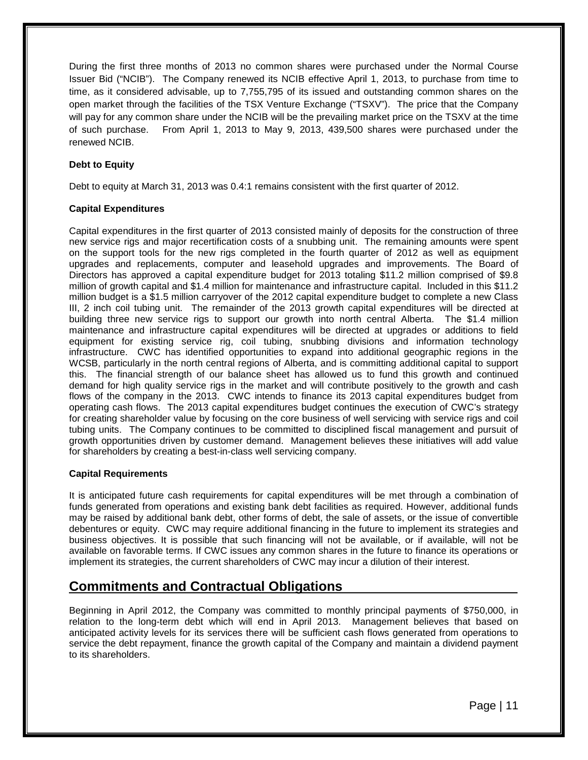During the first three months of 2013 no common shares were purchased under the Normal Course Issuer Bid ("NCIB"). The Company renewed its NCIB effective April 1, 2013, to purchase from time to time, as it considered advisable, up to 7,755,795 of its issued and outstanding common shares on the open market through the facilities of the TSX Venture Exchange ("TSXV"). The price that the Company will pay for any common share under the NCIB will be the prevailing market price on the TSXV at the time of such purchase. From April 1, 2013 to May 9, 2013, 439,500 shares were purchased under the renewed NCIB.

# **Debt to Equity**

Debt to equity at March 31, 2013 was 0.4:1 remains consistent with the first quarter of 2012.

# **Capital Expenditures**

Capital expenditures in the first quarter of 2013 consisted mainly of deposits for the construction of three new service rigs and major recertification costs of a snubbing unit. The remaining amounts were spent on the support tools for the new rigs completed in the fourth quarter of 2012 as well as equipment upgrades and replacements, computer and leasehold upgrades and improvements. The Board of Directors has approved a capital expenditure budget for 2013 totaling \$11.2 million comprised of \$9.8 million of growth capital and \$1.4 million for maintenance and infrastructure capital. Included in this \$11.2 million budget is a \$1.5 million carryover of the 2012 capital expenditure budget to complete a new Class III, 2 inch coil tubing unit. The remainder of the 2013 growth capital expenditures will be directed at building three new service rigs to support our growth into north central Alberta. The \$1.4 million maintenance and infrastructure capital expenditures will be directed at upgrades or additions to field equipment for existing service rig, coil tubing, snubbing divisions and information technology infrastructure. CWC has identified opportunities to expand into additional geographic regions in the WCSB, particularly in the north central regions of Alberta, and is committing additional capital to support this. The financial strength of our balance sheet has allowed us to fund this growth and continued demand for high quality service rigs in the market and will contribute positively to the growth and cash flows of the company in the 2013. CWC intends to finance its 2013 capital expenditures budget from operating cash flows. The 2013 capital expenditures budget continues the execution of CWC's strategy for creating shareholder value by focusing on the core business of well servicing with service rigs and coil tubing units. The Company continues to be committed to disciplined fiscal management and pursuit of growth opportunities driven by customer demand. Management believes these initiatives will add value for shareholders by creating a best-in-class well servicing company.

# **Capital Requirements**

It is anticipated future cash requirements for capital expenditures will be met through a combination of funds generated from operations and existing bank debt facilities as required. However, additional funds may be raised by additional bank debt, other forms of debt, the sale of assets, or the issue of convertible debentures or equity. CWC may require additional financing in the future to implement its strategies and business objectives. It is possible that such financing will not be available, or if available, will not be available on favorable terms. If CWC issues any common shares in the future to finance its operations or implement its strategies, the current shareholders of CWC may incur a dilution of their interest.

# **Commitments and Contractual Obligations**

Beginning in April 2012, the Company was committed to monthly principal payments of \$750,000, in relation to the long-term debt which will end in April 2013. Management believes that based on anticipated activity levels for its services there will be sufficient cash flows generated from operations to service the debt repayment, finance the growth capital of the Company and maintain a dividend payment to its shareholders.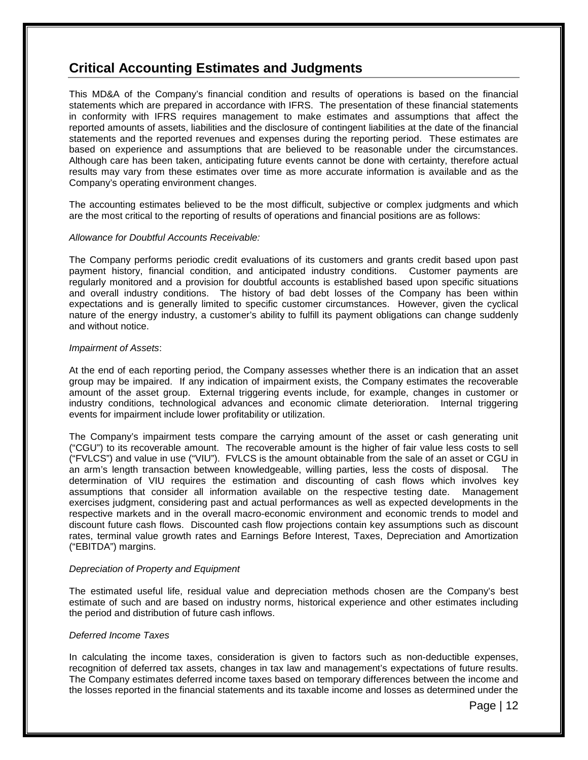# **Critical Accounting Estimates and Judgments**

This MD&A of the Company's financial condition and results of operations is based on the financial statements which are prepared in accordance with IFRS. The presentation of these financial statements in conformity with IFRS requires management to make estimates and assumptions that affect the reported amounts of assets, liabilities and the disclosure of contingent liabilities at the date of the financial statements and the reported revenues and expenses during the reporting period. These estimates are based on experience and assumptions that are believed to be reasonable under the circumstances. Although care has been taken, anticipating future events cannot be done with certainty, therefore actual results may vary from these estimates over time as more accurate information is available and as the Company's operating environment changes.

The accounting estimates believed to be the most difficult, subjective or complex judgments and which are the most critical to the reporting of results of operations and financial positions are as follows:

### *Allowance for Doubtful Accounts Receivable:*

The Company performs periodic credit evaluations of its customers and grants credit based upon past payment history, financial condition, and anticipated industry conditions. Customer payments are regularly monitored and a provision for doubtful accounts is established based upon specific situations and overall industry conditions. The history of bad debt losses of the Company has been within expectations and is generally limited to specific customer circumstances. However, given the cyclical nature of the energy industry, a customer's ability to fulfill its payment obligations can change suddenly and without notice.

### *Impairment of Assets*:

At the end of each reporting period, the Company assesses whether there is an indication that an asset group may be impaired. If any indication of impairment exists, the Company estimates the recoverable amount of the asset group. External triggering events include, for example, changes in customer or industry conditions, technological advances and economic climate deterioration. Internal triggering events for impairment include lower profitability or utilization.

The Company's impairment tests compare the carrying amount of the asset or cash generating unit ("CGU") to its recoverable amount. The recoverable amount is the higher of fair value less costs to sell ("FVLCS") and value in use ("VIU"). FVLCS is the amount obtainable from the sale of an asset or CGU in an arm's length transaction between knowledgeable, willing parties, less the costs of disposal. The determination of VIU requires the estimation and discounting of cash flows which involves key assumptions that consider all information available on the respective testing date. Management exercises judgment, considering past and actual performances as well as expected developments in the respective markets and in the overall macro-economic environment and economic trends to model and discount future cash flows. Discounted cash flow projections contain key assumptions such as discount rates, terminal value growth rates and Earnings Before Interest, Taxes, Depreciation and Amortization ("EBITDA") margins.

### *Depreciation of Property and Equipment*

The estimated useful life, residual value and depreciation methods chosen are the Company's best estimate of such and are based on industry norms, historical experience and other estimates including the period and distribution of future cash inflows.

### *Deferred Income Taxes*

In calculating the income taxes, consideration is given to factors such as non-deductible expenses, recognition of deferred tax assets, changes in tax law and management's expectations of future results. The Company estimates deferred income taxes based on temporary differences between the income and the losses reported in the financial statements and its taxable income and losses as determined under the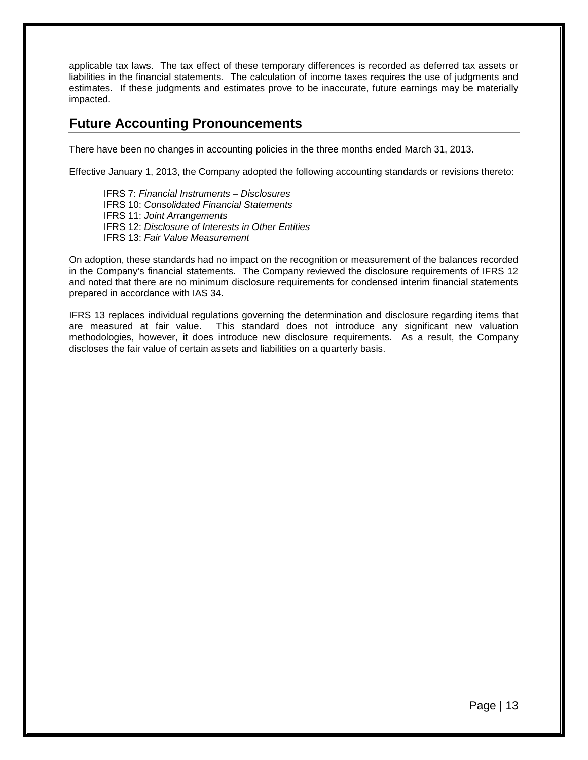applicable tax laws. The tax effect of these temporary differences is recorded as deferred tax assets or liabilities in the financial statements. The calculation of income taxes requires the use of judgments and estimates. If these judgments and estimates prove to be inaccurate, future earnings may be materially impacted.

# **Future Accounting Pronouncements**

There have been no changes in accounting policies in the three months ended March 31, 2013.

Effective January 1, 2013, the Company adopted the following accounting standards or revisions thereto:

IFRS 7: *Financial Instruments – Disclosures* IFRS 10: *Consolidated Financial Statements* IFRS 11: *Joint Arrangements* IFRS 12: *Disclosure of Interests in Other Entities* IFRS 13: *Fair Value Measurement*

On adoption, these standards had no impact on the recognition or measurement of the balances recorded in the Company's financial statements. The Company reviewed the disclosure requirements of IFRS 12 and noted that there are no minimum disclosure requirements for condensed interim financial statements prepared in accordance with IAS 34.

IFRS 13 replaces individual regulations governing the determination and disclosure regarding items that are measured at fair value. This standard does not introduce any significant new valuation methodologies, however, it does introduce new disclosure requirements. As a result, the Company discloses the fair value of certain assets and liabilities on a quarterly basis.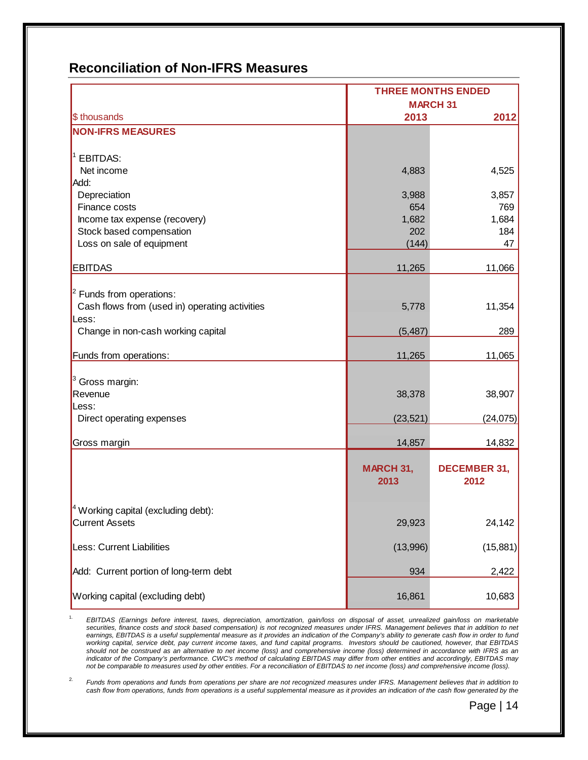# **Reconciliation of Non-IFRS Measures**

|                                                | <b>THREE MONTHS ENDED</b> |                     |  |
|------------------------------------------------|---------------------------|---------------------|--|
|                                                | <b>MARCH 31</b>           |                     |  |
| \$ thousands                                   | 2013                      | 2012                |  |
| <b>NON-IFRS MEASURES</b>                       |                           |                     |  |
|                                                |                           |                     |  |
| <b>EBITDAS:</b>                                |                           |                     |  |
| Net income                                     | 4,883                     | 4,525               |  |
| Add:                                           |                           |                     |  |
| Depreciation                                   | 3,988                     | 3,857               |  |
| Finance costs                                  | 654                       | 769                 |  |
| Income tax expense (recovery)                  | 1,682                     | 1,684               |  |
| Stock based compensation                       | 202                       | 184                 |  |
| Loss on sale of equipment                      | (144)                     | 47                  |  |
| <b>EBITDAS</b>                                 | 11,265                    | 11,066              |  |
|                                                |                           |                     |  |
| $2$ Funds from operations:                     |                           |                     |  |
| Cash flows from (used in) operating activities | 5,778                     | 11,354              |  |
| Less:                                          |                           |                     |  |
| Change in non-cash working capital             | (5, 487)                  | 289                 |  |
|                                                |                           |                     |  |
| Funds from operations:                         | 11,265                    | 11,065              |  |
|                                                |                           |                     |  |
| Gross margin:                                  |                           |                     |  |
| Revenue                                        | 38,378                    | 38,907              |  |
| Less:                                          |                           |                     |  |
| Direct operating expenses                      | (23, 521)                 | (24, 075)           |  |
| Gross margin                                   | 14,857                    | 14,832              |  |
|                                                |                           |                     |  |
|                                                | MARCH 31,                 | <b>DECEMBER 31,</b> |  |
|                                                | 2013                      | 2012                |  |
|                                                |                           |                     |  |
| $^4$ Working capital (excluding debt):         |                           |                     |  |
| <b>Current Assets</b>                          | 29,923                    | 24,142              |  |
|                                                |                           |                     |  |
| Less: Current Liabilities                      | (13,996)                  | (15, 881)           |  |
| Add: Current portion of long-term debt         | 934                       | 2,422               |  |
|                                                |                           |                     |  |
| Working capital (excluding debt)               | 16,861                    | 10,683              |  |

1. *EBITDAS (Earnings before interest, taxes, depreciation, amortization, gain/loss on disposal of asset, unrealized gain/loss on marketable*  securities, finance costs and stock based compensation) is not recognized measures under IFRS. Management believes that in addition to net *earnings, EBITDAS is a useful supplemental measure as it provides an indication of the Company's ability to generate cash flow in order to fund working capital, service debt, pay current income taxes, and fund capital programs. Investors should be cautioned, however, that EBITDAS*  should not be construed as an alternative to net income (loss) and comprehensive income (loss) determined in accordance with IFRS as an indicator of the Company's performance. CWC's method of calculating EBITDAS may differ from other entities and accordingly, EBITDAS may *not be comparable to measures used by other entities. For a reconciliation of EBITDAS to net income (loss) and comprehensive income (loss).* 

2. *Funds from operations and funds from operations per share are not recognized measures under IFRS. Management believes that in addition to cash flow from operations, funds from operations is a useful supplemental measure as it provides an indication of the cash flow generated by the*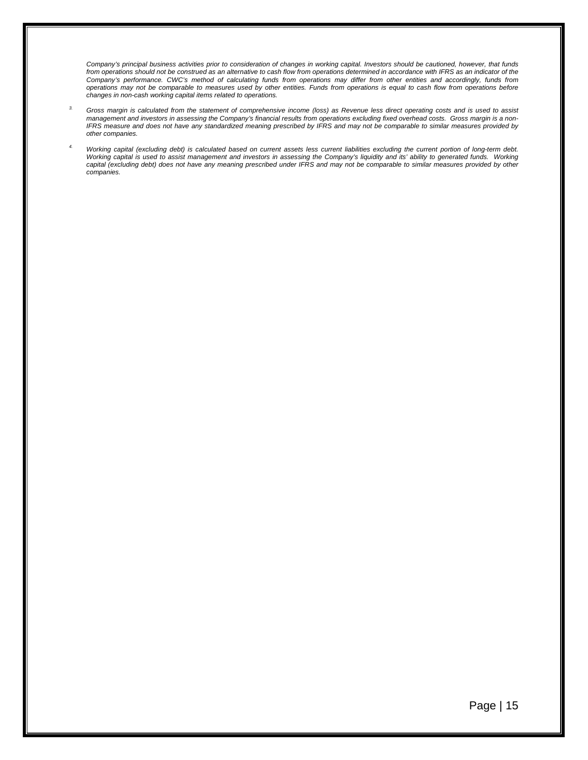*Company's principal business activities prior to consideration of changes in working capital. Investors should be cautioned, however, that funds from operations should not be construed as an alternative to cash flow from operations determined in accordance with IFRS as an indicator of the Company's performance. CWC's method of calculating funds from operations may differ from other entities and accordingly, funds from operations may not be comparable to measures used by other entities. Funds from operations is equal to cash flow from operations before changes in non-cash working capital items related to operations.*

- *3. Gross margin is calculated from the statement of comprehensive income (loss) as Revenue less direct operating costs and is used to assist management and investors in assessing the Company's financial results from operations excluding fixed overhead costs. Gross margin is a non-IFRS measure and does not have any standardized meaning prescribed by IFRS and may not be comparable to similar measures provided by other companies.*
- *4. Working capital (excluding debt) is calculated based on current assets less current liabilities excluding the current portion of long-term debt. Working capital is used to assist management and investors in assessing the Company's liquidity and its' ability to generated funds. Working capital (excluding debt) does not have any meaning prescribed under IFRS and may not be comparable to similar measures provided by other companies.*